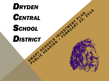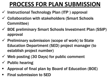# **PROCESS FOR PLAN SUBMISSION**

- $\checkmark$  Instructional Technology Plan (ITP) approval
- Collaboration with stakeholders (Smart Schools Committee)
- $\checkmark$  BOE preliminary Smart Schools Investment Plan (SSIP) approval
- $\checkmark$  Preliminary submission (scope of work) to State Education Department (SED) project manager (to establish project number)
- $\checkmark$  Web posting (30 Days) for public comment
- $\checkmark$  Public hearing
- Approval of final plan by Board of Education (BOE)
- **Final submission to SED**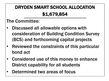## DRYDEN SMART SCHOOL ALLOCATION \$1,679,854

### The Committee:

- Discussed all allowable options with consideration of Building Condition Survey (BCS) and forthcoming capital projects
- Reviewed the constraints of this particular bond act
- Considered use of this money to enhance District capability for all students
- Determined two areas of focus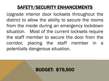## SAFETY/SECURITY ENHANCEMENTS

Upgrade interior door locksets throughout the district to allow the ability to secure the rooms from the inside during an emergency lockdown situation. Most of the current locksets require the staff member to secure the door from the corridor, placing the staff member in a potentially dangerous situation.

#### BUDGET: \$75,500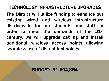## TECHNOLOGY INFRASTRUCTURE UPGRADES

The District will utilize funding to enhance our existing wired and wireless infrastructure district-wide for our students and staff. In order to meet the demands of the 21st century, we will upgrade cabling and install additional wireless access points allowing seamless use of district technology.

#### BUDGET: \$1,604,354